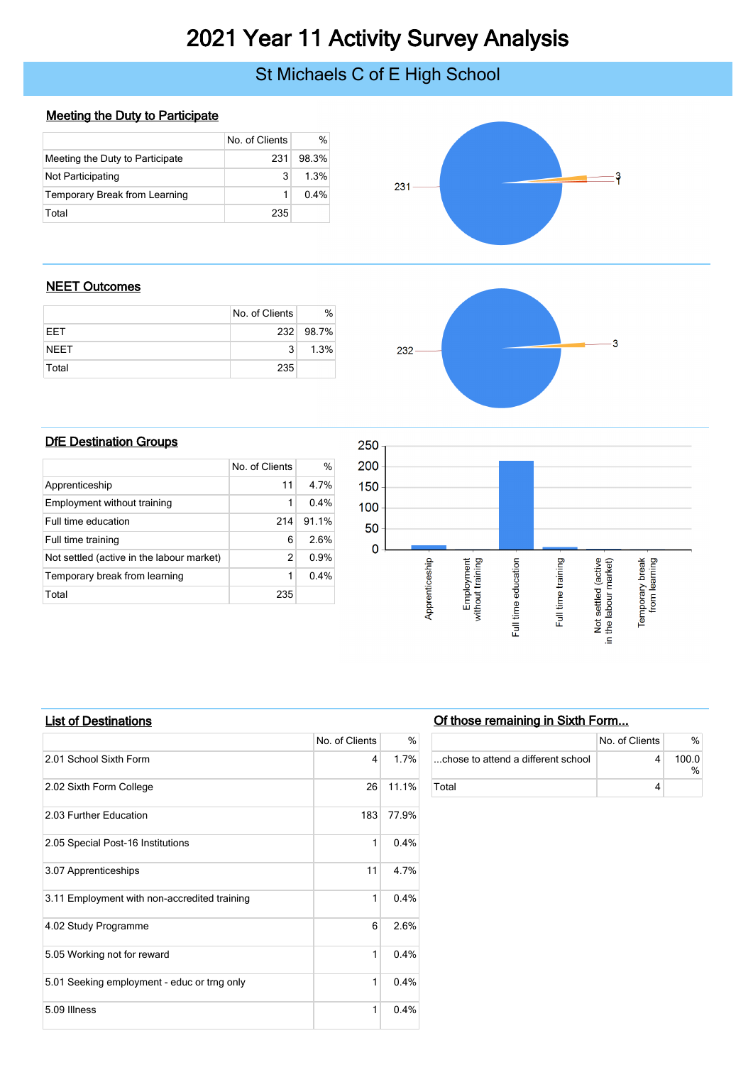# 2021 Year 11 Activity Survey Analysis

## St Michaels C of E High School

#### Meeting the Duty to Participate

|                                 | No. of Clients | $\%$  |
|---------------------------------|----------------|-------|
| Meeting the Duty to Participate | 231            | 98.3% |
| Not Participating               | 3              | 1.3%  |
| Temporary Break from Learning   |                | 0.4%  |
| Total                           | 235            |       |



#### NEET Outcomes

|             | No. of Clients | %         |
|-------------|----------------|-----------|
| <b>FFT</b>  |                | 232 98.7% |
| <b>NEET</b> | $\mathcal{E}$  | 1.3%      |
| Total       | 235            |           |



#### **DfE Destination Groups**

|                                           | No. of Clients | $\%$  |
|-------------------------------------------|----------------|-------|
| Apprenticeship                            | 11             | 4 7%  |
| Employment without training               | 1              | 0.4%  |
| Full time education                       | 214            | 91 1% |
| Full time training                        | 6              | 2.6%  |
| Not settled (active in the labour market) | 2              | 0.9%  |
| Temporary break from learning             | 1              | 0.4%  |
| Total                                     | 235            |       |



#### List of Destinations

|                                              | No. of Clients | $\%$  |
|----------------------------------------------|----------------|-------|
| 2.01 School Sixth Form                       | 4              | 1.7%  |
| 2.02 Sixth Form College                      | 26             | 11.1% |
| 2.03 Further Education                       | 183            | 77.9% |
| 2.05 Special Post-16 Institutions            | 1              | 0.4%  |
| 3.07 Apprenticeships                         | 11             | 4.7%  |
| 3.11 Employment with non-accredited training | 1              | 0.4%  |
| 4.02 Study Programme                         | 6              | 2.6%  |
| 5.05 Working not for reward                  | 1              | 0.4%  |
| 5.01 Seeking employment - educ or trng only  | 1              | 0.4%  |
| 5.09 Illness                                 | 1              | 0.4%  |

### Of those remaining in Sixth Form...

|                                    | No. of Clients | %               |
|------------------------------------|----------------|-----------------|
| chose to attend a different school |                | 100 $0$<br>$\%$ |
| Total                              |                |                 |